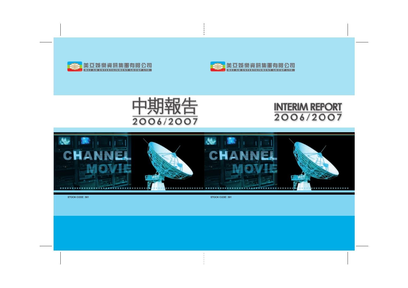

# **INTERIM REPORT** 2006/2007



STOCK CODE: 391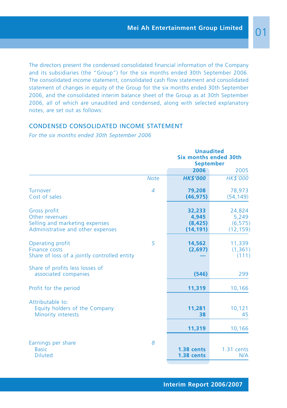The directors present the condensed consolidated financial information of the Company and its subsidiaries (the "Group") for the six months ended 30th September 2006. The consolidated income statement, consolidated cash flow statement and consolidated statement of changes in equity of the Group for the six months ended 30th September 2006, and the consolidated interim balance sheet of the Group as at 30th September 2006, all of which are unaudited and condensed, along with selected explanatory notes, are set out as follows:

# CONDENSED CONSOLIDATED INCOME STATEMENT

*For the six months ended 30th September 2006*

|                                                                                                       |             | <b>Unaudited</b><br><b>Six months ended 30th</b><br><b>September</b> |                                          |  |
|-------------------------------------------------------------------------------------------------------|-------------|----------------------------------------------------------------------|------------------------------------------|--|
|                                                                                                       |             | 2006                                                                 | 2005                                     |  |
|                                                                                                       | <b>Note</b> | <b>HK\$'000</b>                                                      | HK\$'000                                 |  |
| Turnover<br>Cost of sales                                                                             | 4           | 79,208<br>(46, 975)                                                  | 78,973<br>(54, 149)                      |  |
| Gross profit<br>Other revenues<br>Selling and marketing expenses<br>Administrative and other expenses |             | 32,233<br>4,945<br>(8, 425)<br>(14, 191)                             | 24,824<br>5,249<br>(6, 575)<br>(12, 159) |  |
| Operating profit<br>Finance costs<br>Share of loss of a jointly controlled entity                     | 5           | 14,562<br>(2,697)                                                    | 11,339<br>(1, 361)<br>(111)              |  |
| Share of profits less losses of<br>associated companies                                               |             | (546)                                                                | 299                                      |  |
| Profit for the period                                                                                 |             | 11,319                                                               | 10,166                                   |  |
| Attributable to:<br>Equity holders of the Company<br>Minority interests                               |             | 11,281<br>38                                                         | 10,121<br>45                             |  |
|                                                                                                       |             | 11,319                                                               | 10,166                                   |  |
| Earnings per share<br><b>Basic</b><br><b>Diluted</b>                                                  | 8           | 1.38 cents<br>1.38 cents                                             | 1.31 cents<br>N/A                        |  |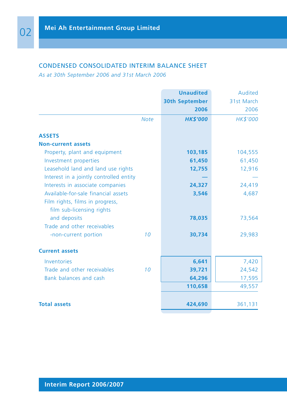# CONDENSED CONSOLIDATED INTERIM BALANCE SHEET

*As at 30th September 2006 and 31st March 2006*

|                                         | <b>Unaudited</b>      | Audited         |
|-----------------------------------------|-----------------------|-----------------|
|                                         | <b>30th September</b> | 31st March      |
|                                         | 2006                  | 2006            |
| <b>Note</b>                             | <b>HK\$'000</b>       | <b>HK\$'000</b> |
| <b>ASSETS</b>                           |                       |                 |
| <b>Non-current assets</b>               |                       |                 |
| Property, plant and equipment           | 103,185               | 104,555         |
| Investment properties                   | 61,450                | 61,450          |
| Leasehold land and land use rights      | 12,755                | 12,916          |
| Interest in a jointly controlled entity |                       |                 |
| Interests in associate companies        | 24,327                | 24,419          |
| Available-for-sale financial assets     | 3,546                 | 4,687           |
| Film rights, films in progress,         |                       |                 |
| film sub-licensing rights               |                       |                 |
| and deposits                            | 78,035                | 73,564          |
| Trade and other receivables             |                       |                 |
| 10<br>-non-current portion              | 30,734                | 29,983          |
| <b>Current assets</b>                   |                       |                 |
| Inventories                             | 6,641                 | 7,420           |
| Trade and other receivables<br>10       | 39,721                | 24,542          |
| Bank balances and cash                  | 64,296                | 17,595          |
|                                         | 110,658               | 49,557          |
|                                         |                       |                 |
| <b>Total assets</b>                     | 424,690               | 361,131         |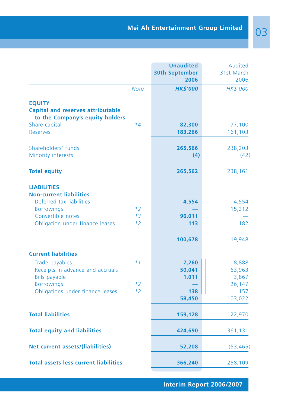|                                                                                              |             | <b>Unaudited</b>              | Audited            |
|----------------------------------------------------------------------------------------------|-------------|-------------------------------|--------------------|
|                                                                                              |             | <b>30th September</b><br>2006 | 31st March<br>2006 |
|                                                                                              | <b>Note</b> | <b>HK\$'000</b>               | HK\$'000           |
| <b>EQUITY</b><br><b>Capital and reserves attributable</b><br>to the Company's equity holders |             |                               |                    |
| Share capital                                                                                | 14          | 82,300                        | 77,100             |
| <b>Reserves</b>                                                                              |             | 183,266                       | 161,103            |
| Shareholders' funds                                                                          |             | 265,566                       | 238,203            |
| Minority interests                                                                           |             | (4)                           | (42)               |
| <b>Total equity</b>                                                                          |             | 265,562                       | 238,161            |
| <b>LIABILITIES</b>                                                                           |             |                               |                    |
| <b>Non-current liabilities</b><br>Deferred tax liabilities                                   |             | 4,554                         | 4,554              |
| <b>Borrowings</b>                                                                            | 12          |                               | 15,212             |
| Convertible notes<br>Obligation under finance leases                                         | 13<br>12    | 96,011<br>113                 | 182                |
|                                                                                              |             |                               |                    |
|                                                                                              |             | 100,678                       | 19,948             |
| <b>Current liabilities</b>                                                                   |             |                               |                    |
| Trade payables                                                                               | 11          | 7,260                         | 8,888              |
| Receipts in advance and accruals                                                             |             | 50,041                        | 63,963             |
| <b>Bills payable</b><br><b>Borrowings</b>                                                    | 12          | 1,011                         | 3,867<br>26,147    |
| Obligations under finance leases                                                             | 12          | 138                           | 157                |
|                                                                                              |             | 58,450                        | 103,022            |
|                                                                                              |             |                               |                    |
| <b>Total liabilities</b>                                                                     |             | 159,128                       | 122,970            |
| <b>Total equity and liabilities</b>                                                          |             | 424,690                       | 361,131            |
| Net current assets/(liabilities)                                                             |             | 52,208                        | (53, 465)          |
| <b>Total assets less current liabilities</b>                                                 |             | 366,240                       | 258,109            |
|                                                                                              |             |                               |                    |

**Interim Report 2006/2007**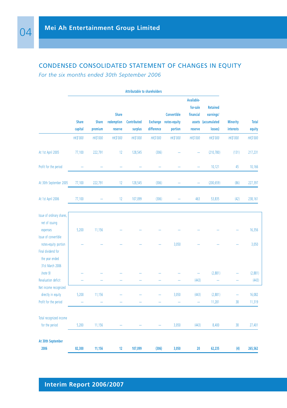# CONDENSED CONSOLIDATED STATEMENT OF CHANGES IN EQUITY

*For the six months ended 30th September 2006*

|                                                                                                                               |                         |                         |                                       | <b>Attributable to shareholders</b> |                               |                                               |                                                |                                                                |                                     |                            |
|-------------------------------------------------------------------------------------------------------------------------------|-------------------------|-------------------------|---------------------------------------|-------------------------------------|-------------------------------|-----------------------------------------------|------------------------------------------------|----------------------------------------------------------------|-------------------------------------|----------------------------|
|                                                                                                                               | <b>Share</b><br>capital | <b>Share</b><br>premium | <b>Share</b><br>redemption<br>reserve | <b>Contributed</b><br>surplus       | <b>Exchange</b><br>difference | <b>Convertible</b><br>notes-equity<br>portion | Available-<br>for-sale<br>financial<br>reserve | <b>Retained</b><br>earnings/<br>assets (accumulated<br>losses) | <b>Minority</b><br><b>interests</b> | <b>Total</b><br>equity     |
|                                                                                                                               | HK\$'000                | <b>HK\$'000</b>         | HK\$'000                              | HK\$'000                            | <b>HK\$'000</b>               | <b>HK\$'000</b>                               | <b>HK\$'000</b>                                | HK\$'000                                                       | <b>HK\$'000</b>                     | <b>HK\$'000</b>            |
| At 1st April 2005                                                                                                             | 77,100                  | 222,791                 | 12                                    | 128,545                             | (306)                         |                                               |                                                | (210, 780)                                                     | (131)                               | 217,231                    |
| Profit for the period                                                                                                         |                         |                         |                                       |                                     |                               |                                               |                                                | 10,121                                                         | 45                                  | 10,166                     |
| At 30th September 2005                                                                                                        | 77,100                  | 222,791                 | 12                                    | 128,545                             | (306)                         |                                               | $\overline{\phantom{0}}$                       | (200, 659)                                                     | (86)                                | 227,397                    |
| At 1st April 2006                                                                                                             | 77,100                  |                         | 12                                    | 107,099                             | (306)                         |                                               | 463                                            | 53,835                                                         | (42)                                | 238,161                    |
| Issue of ordinary shares,<br>net of issuing<br>expenses<br>Issue of convertible<br>notes-equity portion<br>Final dividend for | 5,200                   | 11,156                  |                                       |                                     |                               | 3,050                                         |                                                |                                                                |                                     | 16,356<br>3,050            |
| the year ended<br>31st March 2006<br>(note 9)<br><b>Revaluation deficit</b><br>Net income recognized<br>directly in equity    | 5,200                   | 11,156                  |                                       |                                     |                               | 3,050                                         | (443)<br>(443)                                 | (2,881)<br>(2,881)                                             |                                     | (2,881)<br>(443)<br>16,082 |
| Profit for the period                                                                                                         |                         |                         |                                       |                                     |                               |                                               | ÷                                              | 11,281                                                         | 38                                  | 11,319                     |
| Total recognized income<br>for the period                                                                                     | 5,200                   | 11,156                  |                                       |                                     |                               | 3,050                                         | (443)                                          | 8,400                                                          | 38                                  | 27,401                     |
| At 30th September<br>2006                                                                                                     | 82,300                  | 11,156                  | 12                                    | 107,099                             | (306)                         | 3,050                                         | 20                                             | 62,235                                                         | (4)                                 | 265,562                    |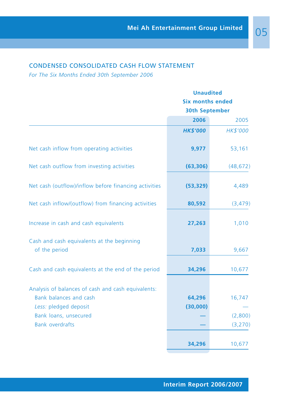# CONDENSED CONSOLIDATED CASH FLOW STATEMENT

*For The Six Months Ended 30th September 2006*

|                                                             | <b>Unaudited</b>        |                       |  |  |
|-------------------------------------------------------------|-------------------------|-----------------------|--|--|
|                                                             | <b>Six months ended</b> |                       |  |  |
|                                                             |                         | <b>30th September</b> |  |  |
|                                                             | 2006                    | 2005                  |  |  |
|                                                             | <b>HK\$'000</b>         | HK\$'000              |  |  |
| Net cash inflow from operating activities                   | 9,977                   | 53,161                |  |  |
| Net cash outflow from investing activities                  | (63, 306)               | (48, 672)             |  |  |
| Net cash (outflow)/inflow before financing activities       | (53, 329)               | 4,489                 |  |  |
| Net cash inflow/(outflow) from financing activities         | 80,592                  | (3, 479)              |  |  |
| Increase in cash and cash equivalents                       | 27,263                  | 1,010                 |  |  |
| Cash and cash equivalents at the beginning<br>of the period | 7,033                   | 9,667                 |  |  |
|                                                             |                         |                       |  |  |
| Cash and cash equivalents at the end of the period          | 34,296                  | 10,677                |  |  |
| Analysis of balances of cash and cash equivalents:          |                         |                       |  |  |
| Bank balances and cash                                      | 64,296                  | 16,747                |  |  |
| Less: pledged deposit                                       | (30,000)                |                       |  |  |
| Bank loans, unsecured                                       |                         | (2,800)               |  |  |
| <b>Bank overdrafts</b>                                      |                         | (3, 270)              |  |  |
|                                                             | 34,296                  | 10,677                |  |  |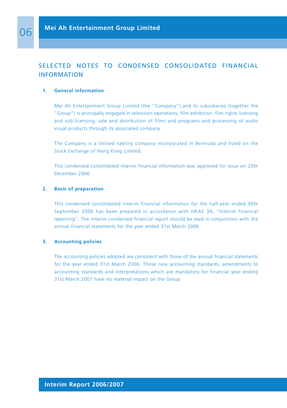# SELECTED NOTES TO CONDENSED CONSOLIDATED FINANCIAL INFORMATION

#### **1. General information**

Mei Ah Entertainment Group Limited (the "Company") and its subsidiaries (together the "Group") is principally engaged in television operations, film exhibition, film rights licensing and sub-licensing, sale and distribution of films and programs and processing of audio visual products through its associated company.

The Company is a limited liability company incorporated in Bermuda and listed on the Stock Exchange of Hong Kong Limited.

This condensed consolidated interim financial information was approved for issue on 20th December 2006.

#### **2. Basis of preparation**

This condensed consolidated interim financial information for the half-year ended 30th September 2006 has been prepared in accordance with HKAS 34, "Interim financial reporting". The interim condensed financial report should be read in conjunction with the annual financial statements for the year ended 31st March 2006.

#### **3. Accounting policies**

The accounting policies adopted are consistent with those of the annual financial statements for the year ended 31st March 2006. Those new accounting standards, amendments to accounting standards and interpretations which are mandatory for financial year ending 31st March 2007 have no material impact on the Group.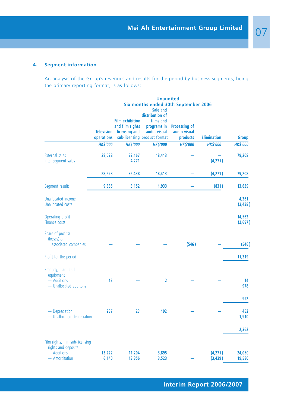## **4. Segment information**

An analysis of the Group's revenues and results for the period by business segments, being the primary reporting format, is as follows:

|                                                                                         | <b>Unaudited</b><br>Six months ended 30th September 2006<br>Sale and<br>distribution of |                                                            |                                                                          |                                                  |                     |                   |  |
|-----------------------------------------------------------------------------------------|-----------------------------------------------------------------------------------------|------------------------------------------------------------|--------------------------------------------------------------------------|--------------------------------------------------|---------------------|-------------------|--|
|                                                                                         | <b>Television</b><br>operations                                                         | <b>Film exhibition</b><br>and film rights<br>licensing and | films and<br>programs in<br>audio visual<br>sub-licensing product format | <b>Processing of</b><br>audio visual<br>products | <b>Elimination</b>  | <b>Group</b>      |  |
|                                                                                         | <b>HK\$'000</b>                                                                         | <b>HK\$'000</b>                                            | <b>HK\$'000</b>                                                          | <b>HK\$'000</b>                                  | <b>HK\$'000</b>     | <b>HK\$'000</b>   |  |
| <b>External sales</b><br>Inter-segment sales                                            | 28,628                                                                                  | 32,167<br>4,271                                            | 18,413                                                                   |                                                  | (4,271)             | 79,208            |  |
|                                                                                         | 28,628                                                                                  | 36,438                                                     | 18,413                                                                   |                                                  | (4,271)             | 79,208            |  |
| Segment results                                                                         | 9,385                                                                                   | 3,152                                                      | 1,933                                                                    |                                                  | (831)               | 13,639            |  |
| Unallocated income<br><b>Unallocated costs</b>                                          |                                                                                         |                                                            |                                                                          |                                                  |                     | 4,361<br>(3, 438) |  |
| Operating profit<br><b>Finance costs</b>                                                |                                                                                         |                                                            |                                                                          |                                                  |                     | 14,562<br>(2,697) |  |
| Share of profits/<br>(losses) of<br>associated companies                                |                                                                                         |                                                            |                                                                          | (546)                                            |                     | (546)             |  |
| Profit for the period                                                                   |                                                                                         |                                                            |                                                                          |                                                  |                     | 11,319            |  |
| Property, plant and<br>equipment<br>- Additions<br>- Unallocated additons               | 12                                                                                      |                                                            | $\overline{2}$                                                           |                                                  |                     | 14<br>978         |  |
|                                                                                         |                                                                                         |                                                            |                                                                          |                                                  |                     | 992               |  |
| - Depreciation<br>- Unallocated depreciation                                            | 237                                                                                     | 23                                                         | 192                                                                      |                                                  |                     | 452<br>1,910      |  |
|                                                                                         |                                                                                         |                                                            |                                                                          |                                                  |                     | 2,362             |  |
| Film rights, film sub-licensing<br>rights and deposits<br>- Additions<br>- Amortisation | 13,222<br>6,140                                                                         | 11,204<br>13,356                                           | 3,895<br>3,523                                                           |                                                  | (4,271)<br>(3, 439) | 24,050<br>19,580  |  |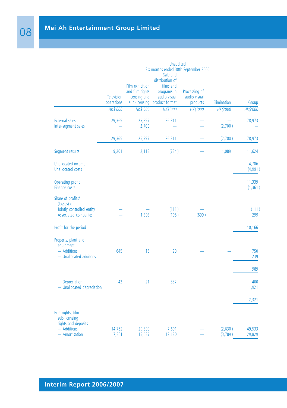|                                                                                        |                                 |                                                                      | <b>Unaudited</b>                                                                                                                  |                                           |             |                    |
|----------------------------------------------------------------------------------------|---------------------------------|----------------------------------------------------------------------|-----------------------------------------------------------------------------------------------------------------------------------|-------------------------------------------|-------------|--------------------|
|                                                                                        | <b>Television</b><br>operations | Film exhibition<br>and film rights<br>licensing and<br>sub-licensing | Six months ended 30th September 2005<br>Sale and<br>distribution of<br>films and<br>programs in<br>audio visual<br>product format | Processing of<br>audio visual<br>products | Elimination | Group              |
|                                                                                        | HK\$'000                        | HK\$'000                                                             | HK\$'000                                                                                                                          | HK\$'000                                  | HK\$'000    | HK\$'000           |
| <b>External sales</b><br>Inter-segment sales                                           | 29,365                          | 23,297<br>2,700                                                      | 26,311                                                                                                                            |                                           | (2,700)     | 78,973             |
|                                                                                        | 29,365                          | 25,997                                                               | 26,311                                                                                                                            |                                           | (2,700)     | 78,973             |
| Segment results                                                                        | 9,201                           | 2,118                                                                | (784)                                                                                                                             |                                           | 1,089       | 11,624             |
| Unallocated income<br><b>Unallocated costs</b>                                         |                                 |                                                                      |                                                                                                                                   |                                           |             | 4,706<br>(4,991)   |
| Operating profit<br><b>Finance costs</b>                                               |                                 |                                                                      |                                                                                                                                   |                                           |             | 11,339<br>(1, 361) |
| Share of profits/<br>(losses) of:<br>Jointly controlled entity<br>Associated companies |                                 | 1,303                                                                | (111)<br>(105)                                                                                                                    | (899)                                     |             | (111)<br>299       |
| Profit for the period                                                                  |                                 |                                                                      |                                                                                                                                   |                                           |             | 10,166             |
| Property, plant and<br>equipment<br>- Additions<br>- Unallocated additons              | 645                             | 15                                                                   | 90                                                                                                                                |                                           |             | 750<br>239         |
|                                                                                        |                                 |                                                                      |                                                                                                                                   |                                           |             | 989                |
| - Depreciation<br>- Unallocated depreciation                                           | 42                              | 21                                                                   | 337                                                                                                                               |                                           |             | 400<br>1,921       |
|                                                                                        |                                 |                                                                      |                                                                                                                                   |                                           |             | 2,321              |
| Film rights, film<br>sub-licensing<br>rights and deposits<br>- Additions               | 14,762                          | 29,800                                                               | 7,601                                                                                                                             |                                           | (2,630)     | 49,533             |
| - Amortisation                                                                         | 7,801                           | 13,637                                                               | 12,180                                                                                                                            |                                           | (3,789)     | 29,829             |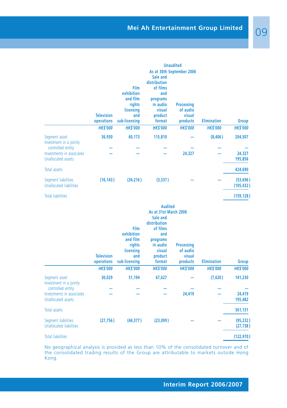|                                                                             | <b>Television</b><br>operations | Film<br>exhibition<br>and film<br>rights<br>licensing<br>and<br>sub-licensing | Sale and<br>distribution<br>of films<br>and<br>programs<br>in audio<br>visual<br>product<br>format                                            | <b>Unaudited</b><br>As at 30th September 2006<br><b>Processing</b><br>of audio<br>visual<br>products | <b>Elimination</b> | <b>Group</b>           |
|-----------------------------------------------------------------------------|---------------------------------|-------------------------------------------------------------------------------|-----------------------------------------------------------------------------------------------------------------------------------------------|------------------------------------------------------------------------------------------------------|--------------------|------------------------|
|                                                                             | <b>HK\$'000</b>                 | <b>HK\$'000</b>                                                               | <b>HK\$'000</b>                                                                                                                               | <b>HK\$'000</b>                                                                                      | <b>HK\$'000</b>    | <b>HK\$'000</b>        |
| Segment asset<br>Investment in a jointly                                    | 36,930                          | 60,173                                                                        | 115,810                                                                                                                                       |                                                                                                      | (8,406)            | 204,507                |
| controlled entity<br>Investments in associates<br><b>Unallocated assets</b> |                                 |                                                                               |                                                                                                                                               | 24,327                                                                                               |                    | 24,327<br>195,856      |
| <b>Total assets</b>                                                         |                                 |                                                                               |                                                                                                                                               |                                                                                                      |                    | 424,690                |
| Segment liabilities<br><b>Unallocated liabilities</b>                       | (16, 143)                       | (34, 216)                                                                     | (3,337)                                                                                                                                       |                                                                                                      |                    | (53,696)<br>(105, 432) |
| <b>Total liabilities</b>                                                    |                                 |                                                                               |                                                                                                                                               |                                                                                                      |                    | (159, 128)             |
|                                                                             | <b>Television</b><br>operations | Film<br>exhibition<br>and film<br>rights<br>licensing<br>and<br>sub-licensing | <b>Audited</b><br>As at 31st March 2006<br>Sale and<br>distribution<br>of films<br>and<br>programs<br>in audio<br>visual<br>product<br>format | <b>Processing</b><br>of audio<br>visual<br>products                                                  | <b>Elimination</b> | <b>Group</b>           |
|                                                                             | <b>HK\$'000</b>                 | <b>HK\$'000</b>                                                               | <b>HK\$'000</b>                                                                                                                               | <b>HK\$'000</b>                                                                                      | <b>HK\$'000</b>    | <b>HK\$'000</b>        |
| Segment asset<br>Investment in a jointly<br>controlled entity               | 30,029                          | 51,194                                                                        | 67,627                                                                                                                                        |                                                                                                      | (7,620)            | 141,230                |
| Investments in associates<br><b>Unallocated assets</b>                      |                                 |                                                                               |                                                                                                                                               | 24,419                                                                                               |                    | 24,419<br>195,482      |

Total assets **361,131** Segment liabilities **(27,756 ) (44,377 ) (23,099 ) — — (95,232 )** Unallocated liabilities **(27,738 )** Total liabilities **(122,970 )**

No geographical analysis is provided as less than 10% of the consolidated turnover and of the consolidated trading results of the Group are attributable to markets outside Hong Kong.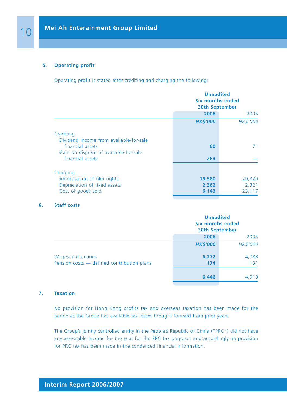## **5. Operating profit**

Operating profit is stated after crediting and charging the following:

|                                                                                                       | <b>Unaudited</b><br><b>Six months ended</b><br><b>30th September</b> |                           |  |
|-------------------------------------------------------------------------------------------------------|----------------------------------------------------------------------|---------------------------|--|
|                                                                                                       | 2006                                                                 | 2005                      |  |
|                                                                                                       | <b>HK\$'000</b>                                                      | HK\$'000                  |  |
| Crediting                                                                                             |                                                                      |                           |  |
| Dividend income from available-for-sale<br>financial assets<br>Gain on disposal of available-for-sale | 60                                                                   | 71                        |  |
| financial assets                                                                                      | 264                                                                  |                           |  |
| Charging                                                                                              |                                                                      |                           |  |
| Amortisation of film rights<br>Depreciation of fixed assets<br>Cost of goods sold                     | 19,580<br>2,362<br>6,143                                             | 29,829<br>2,321<br>23,117 |  |

#### **6. Staff costs**

|                                                                  | <b>Unaudited</b><br>Six months ended<br><b>30th September</b> |              |
|------------------------------------------------------------------|---------------------------------------------------------------|--------------|
|                                                                  | 2006                                                          | 2005         |
|                                                                  | <b>HK\$'000</b>                                               | HK\$'000     |
| Wages and salaries<br>Pension costs - defined contribution plans | 6,272<br>174                                                  | 4,788<br>131 |
|                                                                  | 6,446                                                         | 4.919        |

#### **7. Taxation**

No provision for Hong Kong profits tax and overseas taxation has been made for the period as the Group has available tax losses brought forward from prior years.

The Group's jointly controlled entity in the People's Republic of China ("PRC") did not have any assessable income for the year for the PRC tax purposes and accordingly no provision for PRC tax has been made in the condensed financial information.

# **Interim Report 2006/2007**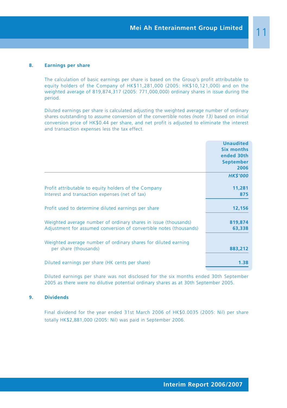#### **8. Earnings per share**

The calculation of basic earnings per share is based on the Group's profit attributable to equity holders of the Company of HK\$11,281,000 (2005: HK\$10,121,000) and on the weighted average of 819,874,317 (2005: 771,000,000) ordinary shares in issue during the period.

Diluted earnings per share is calculated adjusting the weighted average number of ordinary shares outstanding to assume conversion of the convertible notes *(note 13)* based on initial conversion price of HK\$0.44 per share, and net profit is adjusted to eliminate the interest and transaction expenses less the tax effect.

|                                                                    | <b>Unaudited</b>  |
|--------------------------------------------------------------------|-------------------|
|                                                                    | <b>Six months</b> |
|                                                                    | ended 30th        |
|                                                                    | <b>September</b>  |
|                                                                    | 2006              |
|                                                                    | <b>HK\$'000</b>   |
| Profit attributable to equity holders of the Company               | 11,281            |
| Interest and transaction expenses (net of tax)                     | 875               |
| Profit used to determine diluted earnings per share                | 12,156            |
| Weighted average number of ordinary shares in issue (thousands)    | 819,874           |
| Adjustment for assumed conversion of convertible notes (thousands) | 63,338            |
| Weighted average number of ordinary shares for diluted earning     |                   |
| per share (thousands)                                              | 883,212           |
| Diluted earnings per share (HK cents per share)                    | 1.38              |
|                                                                    |                   |

Diluted earnings per share was not disclosed for the six months ended 30th September 2005 as there were no dilutive potential ordinary shares as at 30th September 2005.

#### **9. Dividends**

Final dividend for the year ended 31st March 2006 of HK\$0.0035 (2005: Nil) per share totally HK\$2,881,000 (2005: Nil) was paid in September 2006.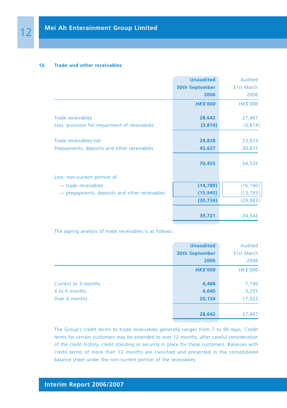#### **10. Trade and other receivables**

|                                                                      | <b>Unaudited</b>      | Audited          |
|----------------------------------------------------------------------|-----------------------|------------------|
|                                                                      | <b>30th September</b> | 31st March       |
|                                                                      | 2006                  | 2006             |
|                                                                      | <b>HK\$'000</b>       | HK\$'000         |
| Trade receivables                                                    | 28,642                | 27,467           |
| Less: provision for impairment of receivables                        | (3,814)               | (3,814)          |
| Trade receivables-net<br>Prepayments, deposits and other receivables | 24,828<br>45,627      | 23,653<br>30,872 |
|                                                                      | 70,455                | 54,525           |
| Less: non-current portion of                                         |                       |                  |
| - trade receivables                                                  | (14, 789)             | (16, 190)        |
| - prepayments, deposits and other receivables                        | (15, 945)             | (13, 793)        |
|                                                                      | (30, 734)             | (29, 983)        |
|                                                                      | 39,721                | 24,542           |

The ageing analysis of trade receivables is as follows:

|                     | <b>Unaudited</b>      | Audited    |
|---------------------|-----------------------|------------|
|                     | <b>30th September</b> | 31st March |
|                     | 2006                  | 2006       |
|                     | <b>HK\$'000</b>       | HK\$'000   |
|                     |                       |            |
| Current to 3 months | 4,468                 | 7,190      |
| 4 to 6 months       | 4,040                 | 3,255      |
| Over 6 months       | 20,134                | 17,022     |
|                     |                       |            |
|                     | 28,642                | 27,467     |

The Group's credit terms to trade receivables generally ranges from 7 to 90 days. Credit terms for certain customers may be extended to over 12 months, after careful consideration of the credit history, credit standing or security in place for these customers. Balances with credit terms of more than 12 months are classified and presented in the consolidated balance sheet under the non-current portion of the receivables.

# **Interim Report 2006/2007**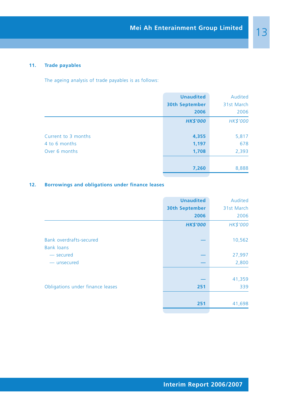# **11. Trade payables**

The ageing analysis of trade payables is as follows:

|                     | <b>Unaudited</b>      | Audited    |
|---------------------|-----------------------|------------|
|                     | <b>30th September</b> | 31st March |
|                     | 2006                  | 2006       |
|                     | <b>HK\$'000</b>       | HK\$'000   |
|                     |                       |            |
| Current to 3 months | 4,355                 | 5,817      |
| 4 to 6 months       | 1,197                 | 678        |
| Over 6 months       | 1,708                 | 2,393      |
|                     |                       |            |
|                     | 7,260                 | 8,888      |

# **12. Borrowings and obligations under finance leases**

|                                                     | <b>Unaudited</b>      | Audited    |
|-----------------------------------------------------|-----------------------|------------|
|                                                     | <b>30th September</b> | 31st March |
|                                                     | 2006                  | 2006       |
|                                                     | <b>HK\$'000</b>       | HK\$'000   |
| <b>Bank overdrafts-secured</b><br><b>Bank loans</b> |                       | 10,562     |
| - secured                                           |                       | 27,997     |
| - unsecured                                         |                       | 2,800      |
|                                                     |                       | 41,359     |
| Obligations under finance leases                    | 251                   | 339        |
|                                                     |                       |            |
|                                                     | 251                   | 41,698     |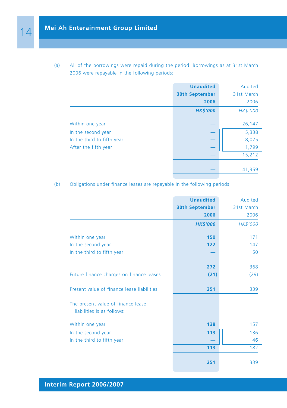(a) All of the borrowings were repaid during the period. Borrowings as at 31st March 2006 were repayable in the following periods:

|                            | <b>Unaudited</b>      | Audited    |
|----------------------------|-----------------------|------------|
|                            | <b>30th September</b> | 31st March |
|                            | 2006                  | 2006       |
|                            | <b>HK\$'000</b>       | HK\$'000   |
| Within one year            |                       | 26,147     |
| In the second year         |                       | 5,338      |
| In the third to fifth year |                       | 8,075      |
| After the fifth year       |                       | 1,799      |
|                            |                       | 15,212     |
|                            |                       | 41,359     |

(b) Obligations under finance leases are repayable in the following periods:

|                                                                  | <b>Unaudited</b>      | Audited    |
|------------------------------------------------------------------|-----------------------|------------|
|                                                                  | <b>30th September</b> | 31st March |
|                                                                  | 2006                  | 2006       |
|                                                                  | <b>HK\$'000</b>       | HK\$'000   |
| Within one year                                                  | 150                   | 171        |
| In the second year                                               | 122                   | 147        |
| In the third to fifth year                                       |                       | 50         |
|                                                                  | 272                   | 368        |
| Future finance charges on finance leases                         | (21)                  | (29)       |
| Present value of finance lease liabilities                       | 251                   | 339        |
| The present value of finance lease<br>liabilities is as follows: |                       |            |
| Within one year                                                  | 138                   | 157        |
| In the second year                                               | 113                   | 136        |
| In the third to fifth year                                       |                       | 46         |
|                                                                  | 113                   | 182        |
|                                                                  | 251                   | 339        |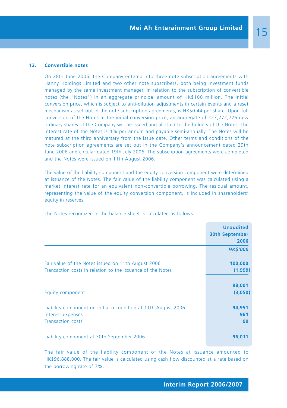#### **13. Convertible notes**

On 28th June 2006, the Company entered into three note subscription agreements with Hanny Holdings Limited and two other note subscribers, both being investment funds managed by the same investment manager, in relation to the subscription of convertible notes (the "Notes") in an aggregate principal amount of HK\$100 million. The initial conversion price, which is subject to anti-dilution adjustments in certain events and a reset mechanism as set out in the note subscription agreements, is HK\$0.44 per share. Upon full conversion of the Notes at the initial conversion price, an aggregate of 227,272,726 new ordinary shares of the Company will be issued and allotted to the holders of the Notes. The interest rate of the Notes is 4% per annum and payable semi-annually. The Notes will be matured at the third anniversary from the issue date. Other terms and conditions of the note subscription agreements are set out in the Company's announcement dated 29th June 2006 and circular dated 19th July 2006. The subscription agreements were completed and the Notes were issued on 11th August 2006.

The value of the liability component and the equity conversion component were determined at issuance of the Notes. The fair value of the liability component was calculated using a market interest rate for an equivalent non-convertible borrowing. The residual amount, representing the value of the equity conversion component, is included in shareholders' equity in reserves.

The Notes recognized in the balance sheet is calculated as follows:

|                                                                                                                  | <b>Unaudited</b><br><b>30th September</b><br>2006 |
|------------------------------------------------------------------------------------------------------------------|---------------------------------------------------|
|                                                                                                                  | <b>HK\$'000</b>                                   |
| Fair value of the Notes issued on 11th August 2006<br>Transaction costs in relation to the issuance of the Notes | 100,000<br>(1,999)                                |
| Equity component                                                                                                 | 98,001<br>(3,050)                                 |
| Liability component on initial recognition at 11th August 2006<br>Interest expenses<br><b>Transaction costs</b>  | 94,951<br>961<br>99                               |
| Liability component at 30th September 2006                                                                       | 96,011                                            |

The fair value of the liability component of the Notes at issuance amounted to HK\$96,888,000. The fair value is calculated using cash flow discounted at a rate based on the borrowing rate of 7%.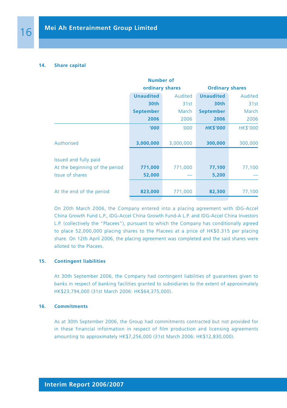#### **14. Share capital**

| <b>Number of</b>               |                  |           |                        |          |
|--------------------------------|------------------|-----------|------------------------|----------|
|                                | ordinary shares  |           | <b>Ordinary shares</b> |          |
|                                | <b>Unaudited</b> | Audited   | <b>Unaudited</b>       | Audited  |
|                                | 30th             | 31st      | 30th                   | 31st     |
|                                | <b>September</b> | March     | <b>September</b>       | March    |
|                                | 2006             | 2006      | 2006                   | 2006     |
|                                | '000             | '000      | <b>HK\$'000</b>        | HK\$'000 |
| Authorised                     | 3,000,000        | 3,000,000 | 300,000                | 300,000  |
| Issued and fully paid          |                  |           |                        |          |
| At the beginning of the period | 771,000          | 771,000   | 77,100                 | 77,100   |
| <b>Issue of shares</b>         | 52,000           |           | 5,200                  |          |
|                                |                  |           |                        |          |
| At the end of the period       | 823,000          | 771,000   | 82,300                 | 77,100   |
|                                |                  |           |                        |          |

On 20th March 2006, the Company entered into a placing agreement with IDG-Accel China Growth Fund L.P., IDG-Accel China Growth Fund-A L.P. and IDG-Accel China Investors L.P. (collectively the "Placees"), pursuant to which the Company has conditionally agreed to place 52,000,000 placing shares to the Placees at a price of HK\$0.315 per placing share. On 12th April 2006, the placing agreement was completed and the said shares were alloted to the Placees.

#### **15. Contingent liabilities**

At 30th September 2006, the Company had contingent liabilities of guarantees given to banks in respect of banking facilities granted to subsidiaries to the extent of approximately HK\$23,794,000 (31st March 2006: HK\$64,375,000).

#### **16. Commitments**

As at 30th September 2006, the Group had commitments contracted but not provided for in these financial information in respect of film production and licensing agreements amounting to approximately HK\$7,256,000 (31st March 2006: HK\$12,830,000).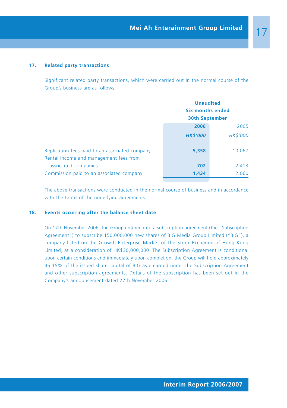#### **17. Related party transactions**

Significant related party transactions, which were carried out in the normal course of the Group's business are as follows:

|                                                                                          | <b>Unaudited</b><br><b>Six months ended</b><br><b>30th September</b> |          |
|------------------------------------------------------------------------------------------|----------------------------------------------------------------------|----------|
|                                                                                          |                                                                      |          |
|                                                                                          |                                                                      |          |
|                                                                                          | 2006                                                                 | 2005     |
|                                                                                          | <b>HK\$'000</b>                                                      | HK\$'000 |
| Replication fees paid to an associated company<br>Rental income and management fees from | 5,358                                                                | 10,067   |
| associated companies                                                                     | 702                                                                  | 2,413    |
| Commission paid to an associated company                                                 | 1,434                                                                | 2,060    |

The above transactions were conducted in the normal course of business and in accordance with the terms of the underlying agreements.

## **18. Events occurring after the balance sheet date**

On 17th November 2006, the Group entered into a subscription agreement (the "Subscription Agreement") to subscribe 150,000,000 new shares of BIG Media Group Limited ("BIG"), a company listed on the Growth Enterprise Market of the Stock Exchange of Hong Kong Limited, at a consideration of HK\$30,000,000. The Subscription Agreement is conditional upon certain conditions and immediately upon completion, the Group will hold approximately 46.15% of the issued share capital of BIG as enlarged under the Subscription Agreement and other subscription agreements. Details of the subscription has been set out in the Company's announcement dated 27th November 2006.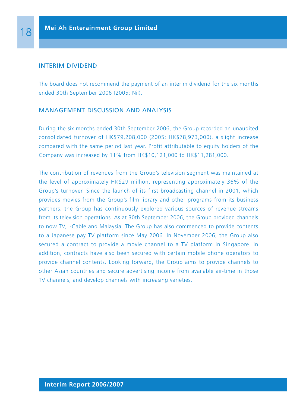## INTERIM DIVIDEND

The board does not recommend the payment of an interim dividend for the six months ended 30th September 2006 (2005: Nil).

# MANAGEMENT DISCUSSION AND ANALYSIS

During the six months ended 30th September 2006, the Group recorded an unaudited consolidated turnover of HK\$79,208,000 (2005: HK\$78,973,000), a slight increase compared with the same period last year. Profit attributable to equity holders of the Company was increased by 11% from HK\$10,121,000 to HK\$11,281,000.

The contribution of revenues from the Group's television segment was maintained at the level of approximately HK\$29 million, representing approximately 36% of the Group's turnover. Since the launch of its first broadcasting channel in 2001, which provides movies from the Group's film library and other programs from its business partners, the Group has continuously explored various sources of revenue streams from its television operations. As at 30th September 2006, the Group provided channels to now TV, i-Cable and Malaysia. The Group has also commenced to provide contents to a Japanese pay TV platform since May 2006. In November 2006, the Group also secured a contract to provide a movie channel to a TV platform in Singapore. In addition, contracts have also been secured with certain mobile phone operators to provide channel contents. Looking forward, the Group aims to provide channels to other Asian countries and secure advertising income from available air-time in those TV channels, and develop channels with increasing varieties.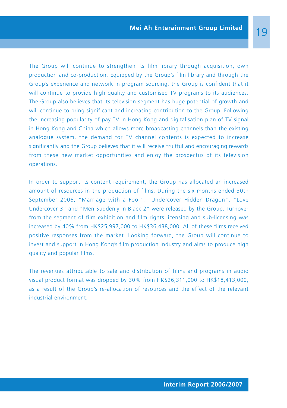The Group will continue to strengthen its film library through acquisition, own production and co-production. Equipped by the Group's film library and through the Group's experience and network in program sourcing, the Group is confident that it will continue to provide high quality and customised TV programs to its audiences. The Group also believes that its television segment has huge potential of growth and will continue to bring significant and increasing contribution to the Group. Following the increasing popularity of pay TV in Hong Kong and digitalisation plan of TV signal in Hong Kong and China which allows more broadcasting channels than the existing analogue system, the demand for TV channel contents is expected to increase significantly and the Group believes that it will receive fruitful and encouraging rewards from these new market opportunities and enjoy the prospectus of its television operations.

In order to support its content requirement, the Group has allocated an increased amount of resources in the production of films. During the six months ended 30th September 2006, "Marriage with a Fool", "Undercover Hidden Dragon", "Love Undercover 3" and "Men Suddenly in Black 2" were released by the Group. Turnover from the segment of film exhibition and film rights licensing and sub-licensing was increased by 40% from HK\$25,997,000 to HK\$36,438,000. All of these films received positive responses from the market. Looking forward, the Group will continue to invest and support in Hong Kong's film production industry and aims to produce high quality and popular films.

The revenues attributable to sale and distribution of films and programs in audio visual product format was dropped by 30% from HK\$26,311,000 to HK\$18,413,000, as a result of the Group's re-allocation of resources and the effect of the relevant industrial environment.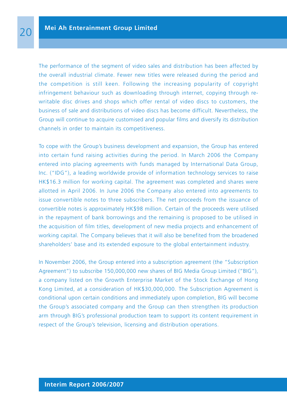The performance of the segment of video sales and distribution has been affected by the overall industrial climate. Fewer new titles were released during the period and the competition is still keen. Following the increasing popularity of copyright infringement behaviour such as downloading through internet, copying through rewritable disc drives and shops which offer rental of video discs to customers, the business of sale and distributions of video discs has become difficult. Nevertheless, the Group will continue to acquire customised and popular films and diversify its distribution channels in order to maintain its competitiveness.

To cope with the Group's business development and expansion, the Group has entered into certain fund raising activities during the period. In March 2006 the Company entered into placing agreements with funds managed by International Data Group, Inc. ("IDG"), a leading worldwide provide of information technology services to raise HK\$16.3 million for working capital. The agreement was completed and shares were allotted in April 2006. In June 2006 the Company also entered into agreements to issue convertible notes to three subscribers. The net proceeds from the issuance of convertible notes is approximately HK\$98 million. Certain of the proceeds were utilised in the repayment of bank borrowings and the remaining is proposed to be utilised in the acquisition of film titles, development of new media projects and enhancement of working capital. The Company believes that it will also be benefited from the broadened shareholders' base and its extended exposure to the global entertainment industry.

In November 2006, the Group entered into a subscription agreement (the "Subscription Agreement") to subscribe 150,000,000 new shares of BIG Media Group Limited ("BIG"), a company listed on the Growth Enterprise Market of the Stock Exchange of Hong Kong Limited, at a consideration of HK\$30,000,000. The Subscription Agreement is conditional upon certain conditions and immediately upon completion, BIG will become the Group's associated company and the Group can then strengthen its production arm through BIG's professional production team to support its content requirement in respect of the Group's television, licensing and distribution operations.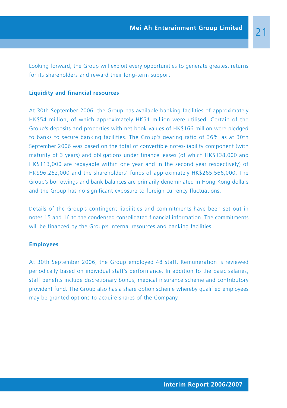Looking forward, the Group will exploit every opportunities to generate greatest returns for its shareholders and reward their long-term support.

## **Liquidity and financial resources**

At 30th September 2006, the Group has available banking facilities of approximately HK\$54 million, of which approximately HK\$1 million were utilised. Certain of the Group's deposits and properties with net book values of HK\$166 million were pledged to banks to secure banking facilities. The Group's gearing ratio of 36% as at 30th September 2006 was based on the total of convertible notes-liability component (with maturity of 3 years) and obligations under finance leases (of which HK\$138,000 and HK\$113,000 are repayable within one year and in the second year respectively) of HK\$96,262,000 and the shareholders' funds of approximately HK\$265,566,000. The Group's borrowings and bank balances are primarily denominated in Hong Kong dollars and the Group has no significant exposure to foreign currency fluctuations.

Details of the Group's contingent liabilities and commitments have been set out in notes 15 and 16 to the condensed consolidated financial information. The commitments will be financed by the Group's internal resources and banking facilities.

## **Employees**

At 30th September 2006, the Group employed 48 staff. Remuneration is reviewed periodically based on individual staff's performance. In addition to the basic salaries, staff benefits include discretionary bonus, medical insurance scheme and contributory provident fund. The Group also has a share option scheme whereby qualified employees may be granted options to acquire shares of the Company.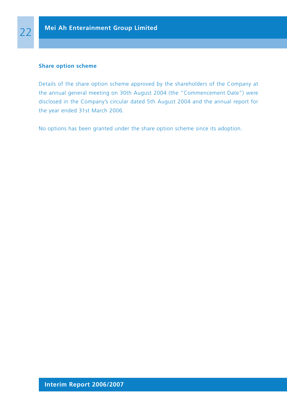#### **Share option scheme**

Details of the share option scheme approved by the shareholders of the Company at the annual general meeting on 30th August 2004 (the "Commencement Date") were disclosed in the Company's circular dated 5th August 2004 and the annual report for the year ended 31st March 2006.

No options has been granted under the share option scheme since its adoption.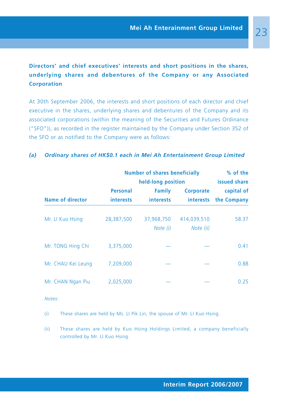# **Directors' and chief executives' interests and short positions in the shares, underlying shares and debentures of the Company or any Associated Corporation**

At 30th September 2006, the interests and short positions of each director and chief executive in the shares, underlying shares and debentures of the Company and its associated corporations (within the meaning of the Securities and Futures Ordinance ("SFO")), as recorded in the register maintained by the Company under Section 352 of the SFO or as notified to the Company were as follows:

## *(a) Ordinary shares of HK\$0.1 each in Mei Ah Entertainment Group Limited*

|                         | <b>Number of shares beneficially</b> | % of the<br>issued share                                |                               |                           |
|-------------------------|--------------------------------------|---------------------------------------------------------|-------------------------------|---------------------------|
| <b>Name of director</b> | Personal<br><i>interests</i>         | held-long position<br><b>Family</b><br><i>interests</i> | <b>Corporate</b><br>interests | capital of<br>the Company |
| Mr. LI Kuo Hsing        | 28,387,500                           | 37,968,750<br>Note (i)                                  | 414,039,510<br>Note (ii)      | 58.37                     |
| Mr. TONG Hing Chi       | 3.375.000                            |                                                         |                               | 0.41                      |
| Mr. CHAU Kei Leung      | 7,209,000                            |                                                         |                               | 0.88                      |
| Mr. CHAN Ngan Piu       | 2.025.000                            |                                                         |                               | 0.25                      |

#### *Notes:*

- (i) These shares are held by Ms. LI Pik Lin, the spouse of Mr. LI Kuo Hsing.
- (ii) These shares are held by Kuo Hsing Holdings Limited, a company beneficially controlled by Mr. LI Kuo Hsing.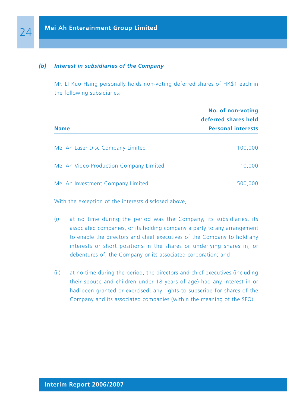## *(b) Interest in subsidiaries of the Company*

Mr. LI Kuo Hsing personally holds non-voting deferred shares of HK\$1 each in the following subsidiaries:

|                                         | No. of non-voting<br>deferred shares held |  |
|-----------------------------------------|-------------------------------------------|--|
| <b>Name</b>                             | <b>Personal interests</b>                 |  |
| Mei Ah Laser Disc Company Limited       | 100,000                                   |  |
| Mei Ah Video Production Company Limited | 10,000                                    |  |
| Mei Ah Investment Company Limited       | 500,000                                   |  |

With the exception of the interests disclosed above,

- (i) at no time during the period was the Company, its subsidiaries, its associated companies, or its holding company a party to any arrangement to enable the directors and chief executives of the Company to hold any interests or short positions in the shares or underlying shares in, or debentures of, the Company or its associated corporation; and
- (ii) at no time during the period, the directors and chief executives (including their spouse and children under 18 years of age) had any interest in or had been granted or exercised, any rights to subscribe for shares of the Company and its associated companies (within the meaning of the SFO).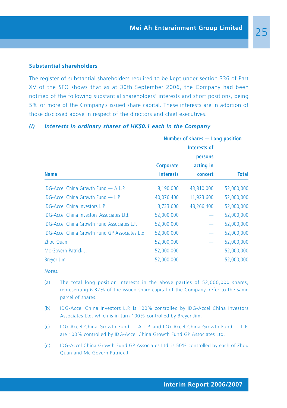#### **Substantial shareholders**

The register of substantial shareholders required to be kept under section 336 of Part XV of the SFO shows that as at 30th September 2006, the Company had been notified of the following substantial shareholders' interests and short positions, being 5% or more of the Company's issued share capital. These interests are in addition of those disclosed above in respect of the directors and chief executives.

# **Number of shares — Long position Interests of persons Corporate acting in Name interests concert Total** IDG-Accel China Growth Fund — A L.P. 8,190,000 43,810,000 52,000,000 IDG-Accel China Growth Fund — L.P. 40,076,400 11,923,600 52,000,000 IDG-Accel China Investors L.P. 3,733,600 48,266,400 52,000,000 IDG-Accel China Investors Associates Ltd. 52,000,000 — 52,000,000 IDG-Accel China Growth Fund Associates L.P. 52,000,000 — 52,000,000 IDG-Accel China Growth Fund GP Associates Ltd. 52,000,000 — 52,000,000 Zhou Quan 52,000,000 — 52,000,000 Mc Govern Patrick J. 52,000,000 — 52,000,000 Breyer Jim 52,000,000 — 52,000,000

## *(i) Interests in ordinary shares of HK\$0.1 each in the Company*

*Notes:*

- (a) The total long position interests in the above parties of 52,000,000 shares, representing 6.32% of the issued share capital of the Company, refer to the same parcel of shares.
- (b) IDG-Accel China Investors L.P. is 100% controlled by IDG-Accel China Investors Associates Ltd. which is in turn 100% controlled by Breyer Jim.
- (c) IDG-Accel China Growth Fund A L.P. and IDG-Accel China Growth Fund L.P. are 100% controlled by IDG-Accel China Growth Fund GP Associates Ltd.
- (d) IDG-Accel China Growth Fund GP Associates Ltd. is 50% controlled by each of Zhou Quan and Mc Govern Patrick J.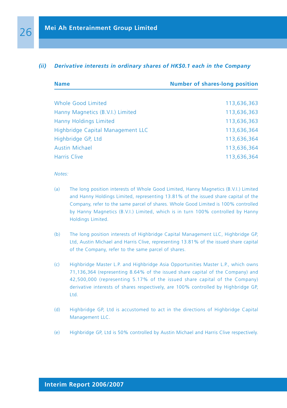#### *(ii) Derivative interests in ordinary shares of HK\$0.1 each in the Company*

| <b>Name</b>                       | <b>Number of shares-long position</b> |  |
|-----------------------------------|---------------------------------------|--|
| Whole Good Limited                | 113,636,363                           |  |
| Hanny Magnetics (B.V.I.) Limited  | 113,636,363                           |  |
| Hanny Holdings Limited            | 113,636,363                           |  |
| Highbridge Capital Management LLC | 113,636,364                           |  |
| Highbridge GP, Ltd                | 113,636,364                           |  |
| <b>Austin Michael</b>             | 113,636,364                           |  |
| <b>Harris Clive</b>               | 113,636,364                           |  |

*Notes:*

- (a) The long position interests of Whole Good Limited, Hanny Magnetics (B.V.I.) Limited and Hanny Holdings Limited, representing 13.81% of the issued share capital of the Company, refer to the same parcel of shares. Whole Good Limited is 100% controlled by Hanny Magnetics (B.V.I.) Limited, which is in turn 100% controlled by Hanny Holdings Limited.
- (b) The long position interests of Highbridge Capital Management LLC, Highbridge GP, Ltd, Austin Michael and Harris Clive, representing 13.81% of the issued share capital of the Company, refer to the same parcel of shares.
- (c) Highbridge Master L.P. and Highbridge Asia Opportunities Master L.P., which owns 71,136,364 (representing 8.64% of the issued share capital of the Company) and 42,500,000 (representing 5.17% of the issued share capital of the Company) derivative interests of shares respectively, are 100% controlled by Highbridge GP, Ltd.
- (d) Highbridge GP, Ltd is accustomed to act in the directions of Highbridge Capital Management LLC.
- (e) Highbridge GP, Ltd is 50% controlled by Austin Michael and Harris Clive respectively.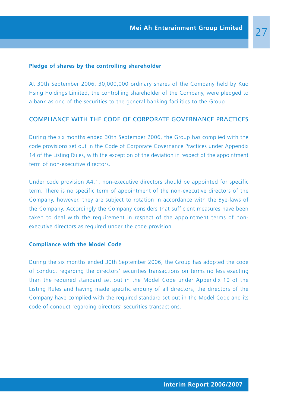#### **Pledge of shares by the controlling shareholder**

At 30th September 2006, 30,000,000 ordinary shares of the Company held by Kuo Hsing Holdings Limited, the controlling shareholder of the Company, were pledged to a bank as one of the securities to the general banking facilities to the Group.

# COMPLIANCE WITH THE CODE OF CORPORATE GOVERNANCE PRACTICES

During the six months ended 30th September 2006, the Group has complied with the code provisions set out in the Code of Corporate Governance Practices under Appendix 14 of the Listing Rules, with the exception of the deviation in respect of the appointment term of non-executive directors.

Under code provision A4.1, non-executive directors should be appointed for specific term. There is no specific term of appointment of the non-executive directors of the Company, however, they are subject to rotation in accordance with the Bye-laws of the Company. Accordingly the Company considers that sufficient measures have been taken to deal with the requirement in respect of the appointment terms of nonexecutive directors as required under the code provision.

#### **Compliance with the Model Code**

During the six months ended 30th September 2006, the Group has adopted the code of conduct regarding the directors' securities transactions on terms no less exacting than the required standard set out in the Model Code under Appendix 10 of the Listing Rules and having made specific enquiry of all directors, the directors of the Company have complied with the required standard set out in the Model Code and its code of conduct regarding directors' securities transactions.